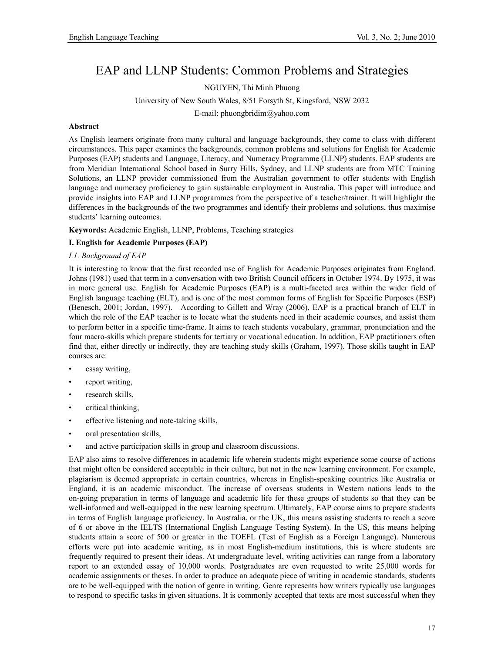# EAP and LLNP Students: Common Problems and Strategies

NGUYEN, Thi Minh Phuong

University of New South Wales, 8/51 Forsyth St, Kingsford, NSW 2032

E-mail: phuongbridim@yahoo.com

#### **Abstract**

As English learners originate from many cultural and language backgrounds, they come to class with different circumstances. This paper examines the backgrounds, common problems and solutions for English for Academic Purposes (EAP) students and Language, Literacy, and Numeracy Programme (LLNP) students. EAP students are from Meridian International School based in Surry Hills, Sydney, and LLNP students are from MTC Training Solutions, an LLNP provider commissioned from the Australian government to offer students with English language and numeracy proficiency to gain sustainable employment in Australia. This paper will introduce and provide insights into EAP and LLNP programmes from the perspective of a teacher/trainer. It will highlight the differences in the backgrounds of the two programmes and identify their problems and solutions, thus maximise students' learning outcomes.

**Keywords:** Academic English, LLNP, Problems, Teaching strategies

## **I. English for Academic Purposes (EAP)**

#### *I.1. Background of EAP*

It is interesting to know that the first recorded use of English for Academic Purposes originates from England. Johns (1981) used that term in a conversation with two British Council officers in October 1974. By 1975, it was in more general use. English for Academic Purposes (EAP) is a multi-faceted area within the wider field of English language teaching (ELT), and is one of the most common forms of English for Specific Purposes (ESP) (Benesch, 2001; Jordan, 1997). According to Gillett and Wray (2006), EAP is a practical branch of ELT in which the role of the EAP teacher is to locate what the students need in their academic courses, and assist them to perform better in a specific time-frame. It aims to teach students vocabulary, grammar, pronunciation and the four macro-skills which prepare students for tertiary or vocational education. In addition, EAP practitioners often find that, either directly or indirectly, they are teaching study skills (Graham, 1997). Those skills taught in EAP courses are:

- essay writing,
- report writing,
- research skills,
- critical thinking,
- effective listening and note-taking skills,
- oral presentation skills,
- and active participation skills in group and classroom discussions.

EAP also aims to resolve differences in academic life wherein students might experience some course of actions that might often be considered acceptable in their culture, but not in the new learning environment. For example, plagiarism is deemed appropriate in certain countries, whereas in English-speaking countries like Australia or England, it is an academic misconduct. The increase of overseas students in Western nations leads to the on-going preparation in terms of language and academic life for these groups of students so that they can be well-informed and well-equipped in the new learning spectrum. Ultimately, EAP course aims to prepare students in terms of English language proficiency. In Australia, or the UK, this means assisting students to reach a score of 6 or above in the IELTS (International English Language Testing System). In the US, this means helping students attain a score of 500 or greater in the TOEFL (Test of English as a Foreign Language). Numerous efforts were put into academic writing, as in most English-medium institutions, this is where students are frequently required to present their ideas. At undergraduate level, writing activities can range from a laboratory report to an extended essay of 10,000 words. Postgraduates are even requested to write 25,000 words for academic assignments or theses. In order to produce an adequate piece of writing in academic standards, students are to be well-equipped with the notion of genre in writing. Genre represents how writers typically use languages to respond to specific tasks in given situations. It is commonly accepted that texts are most successful when they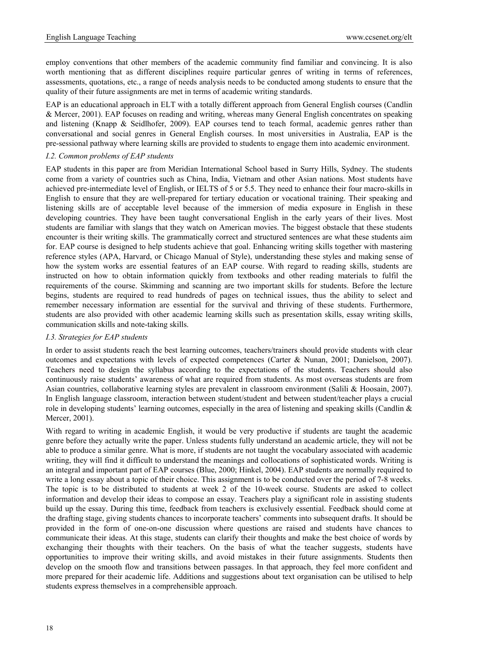employ conventions that other members of the academic community find familiar and convincing. It is also worth mentioning that as different disciplines require particular genres of writing in terms of references, assessments, quotations, etc., a range of needs analysis needs to be conducted among students to ensure that the quality of their future assignments are met in terms of academic writing standards.

EAP is an educational approach in ELT with a totally different approach from General English courses (Candlin & Mercer, 2001). EAP focuses on reading and writing, whereas many General English concentrates on speaking and listening (Knapp & Seidlhofer, 2009). EAP courses tend to teach formal, academic genres rather than conversational and social genres in General English courses. In most universities in Australia, EAP is the pre-sessional pathway where learning skills are provided to students to engage them into academic environment.

#### *I.2. Common problems of EAP students*

EAP students in this paper are from Meridian International School based in Surry Hills, Sydney. The students come from a variety of countries such as China, India, Vietnam and other Asian nations. Most students have achieved pre-intermediate level of English, or IELTS of 5 or 5.5. They need to enhance their four macro-skills in English to ensure that they are well-prepared for tertiary education or vocational training. Their speaking and listening skills are of acceptable level because of the immersion of media exposure in English in these developing countries. They have been taught conversational English in the early years of their lives. Most students are familiar with slangs that they watch on American movies. The biggest obstacle that these students encounter is their writing skills. The grammatically correct and structured sentences are what these students aim for. EAP course is designed to help students achieve that goal. Enhancing writing skills together with mastering reference styles (APA, Harvard, or Chicago Manual of Style), understanding these styles and making sense of how the system works are essential features of an EAP course. With regard to reading skills, students are instructed on how to obtain information quickly from textbooks and other reading materials to fulfil the requirements of the course. Skimming and scanning are two important skills for students. Before the lecture begins, students are required to read hundreds of pages on technical issues, thus the ability to select and remember necessary information are essential for the survival and thriving of these students. Furthermore, students are also provided with other academic learning skills such as presentation skills, essay writing skills, communication skills and note-taking skills.

#### *I.3. Strategies for EAP students*

In order to assist students reach the best learning outcomes, teachers/trainers should provide students with clear outcomes and expectations with levels of expected competences (Carter & Nunan, 2001; Danielson, 2007). Teachers need to design the syllabus according to the expectations of the students. Teachers should also continuously raise students' awareness of what are required from students. As most overseas students are from Asian countries, collaborative learning styles are prevalent in classroom environment (Salili & Hoosain, 2007). In English language classroom, interaction between student/student and between student/teacher plays a crucial role in developing students' learning outcomes, especially in the area of listening and speaking skills (Candlin & Mercer, 2001).

With regard to writing in academic English, it would be very productive if students are taught the academic genre before they actually write the paper. Unless students fully understand an academic article, they will not be able to produce a similar genre. What is more, if students are not taught the vocabulary associated with academic writing, they will find it difficult to understand the meanings and collocations of sophisticated words. Writing is an integral and important part of EAP courses (Blue, 2000; Hinkel, 2004). EAP students are normally required to write a long essay about a topic of their choice. This assignment is to be conducted over the period of 7-8 weeks. The topic is to be distributed to students at week 2 of the 10-week course. Students are asked to collect information and develop their ideas to compose an essay. Teachers play a significant role in assisting students build up the essay. During this time, feedback from teachers is exclusively essential. Feedback should come at the drafting stage, giving students chances to incorporate teachers' comments into subsequent drafts. It should be provided in the form of one-on-one discussion where questions are raised and students have chances to communicate their ideas. At this stage, students can clarify their thoughts and make the best choice of words by exchanging their thoughts with their teachers. On the basis of what the teacher suggests, students have opportunities to improve their writing skills, and avoid mistakes in their future assignments. Students then develop on the smooth flow and transitions between passages. In that approach, they feel more confident and more prepared for their academic life. Additions and suggestions about text organisation can be utilised to help students express themselves in a comprehensible approach.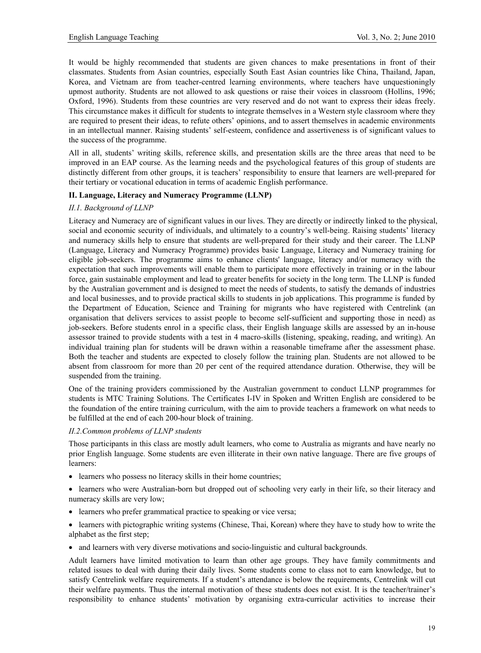It would be highly recommended that students are given chances to make presentations in front of their classmates. Students from Asian countries, especially South East Asian countries like China, Thailand, Japan, Korea, and Vietnam are from teacher-centred learning environments, where teachers have unquestioningly upmost authority. Students are not allowed to ask questions or raise their voices in classroom (Hollins, 1996; Oxford, 1996). Students from these countries are very reserved and do not want to express their ideas freely. This circumstance makes it difficult for students to integrate themselves in a Western style classroom where they are required to present their ideas, to refute others' opinions, and to assert themselves in academic environments in an intellectual manner. Raising students' self-esteem, confidence and assertiveness is of significant values to the success of the programme.

All in all, students' writing skills, reference skills, and presentation skills are the three areas that need to be improved in an EAP course. As the learning needs and the psychological features of this group of students are distinctly different from other groups, it is teachers' responsibility to ensure that learners are well-prepared for their tertiary or vocational education in terms of academic English performance.

# **II. Language, Literacy and Numeracy Programme (LLNP)**

## *II.1. Background of LLNP*

Literacy and Numeracy are of significant values in our lives. They are directly or indirectly linked to the physical, social and economic security of individuals, and ultimately to a country's well-being. Raising students' literacy and numeracy skills help to ensure that students are well-prepared for their study and their career. The LLNP (Language, Literacy and Numeracy Programme) provides basic Language, Literacy and Numeracy training for eligible job-seekers. The programme aims to enhance clients' language, literacy and/or numeracy with the expectation that such improvements will enable them to participate more effectively in training or in the labour force, gain sustainable employment and lead to greater benefits for society in the long term. The LLNP is funded by the Australian government and is designed to meet the needs of students, to satisfy the demands of industries and local businesses, and to provide practical skills to students in job applications. This programme is funded by the Department of Education, Science and Training for migrants who have registered with Centrelink (an organisation that delivers services to assist people to become self-sufficient and supporting those in need) as job-seekers. Before students enrol in a specific class, their English language skills are assessed by an in-house assessor trained to provide students with a test in 4 macro-skills (listening, speaking, reading, and writing). An individual training plan for students will be drawn within a reasonable timeframe after the assessment phase. Both the teacher and students are expected to closely follow the training plan. Students are not allowed to be absent from classroom for more than 20 per cent of the required attendance duration. Otherwise, they will be suspended from the training.

One of the training providers commissioned by the Australian government to conduct LLNP programmes for students is MTC Training Solutions. The Certificates I-IV in Spoken and Written English are considered to be the foundation of the entire training curriculum, with the aim to provide teachers a framework on what needs to be fulfilled at the end of each 200-hour block of training.

#### *II.2.Common problems of LLNP students*

Those participants in this class are mostly adult learners, who come to Australia as migrants and have nearly no prior English language. Some students are even illiterate in their own native language. There are five groups of learners:

- learners who possess no literacy skills in their home countries;
- learners who were Australian-born but dropped out of schooling very early in their life, so their literacy and numeracy skills are very low;
- learners who prefer grammatical practice to speaking or vice versa;
- learners with pictographic writing systems (Chinese, Thai, Korean) where they have to study how to write the alphabet as the first step;
- and learners with very diverse motivations and socio-linguistic and cultural backgrounds.

Adult learners have limited motivation to learn than other age groups. They have family commitments and related issues to deal with during their daily lives. Some students come to class not to earn knowledge, but to satisfy Centrelink welfare requirements. If a student's attendance is below the requirements, Centrelink will cut their welfare payments. Thus the internal motivation of these students does not exist. It is the teacher/trainer's responsibility to enhance students' motivation by organising extra-curricular activities to increase their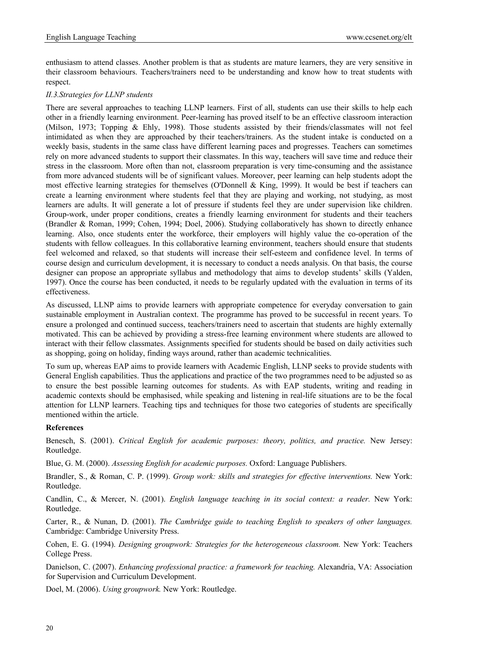enthusiasm to attend classes. Another problem is that as students are mature learners, they are very sensitive in their classroom behaviours. Teachers/trainers need to be understanding and know how to treat students with respect.

## *II.3.Strategies for LLNP students*

There are several approaches to teaching LLNP learners. First of all, students can use their skills to help each other in a friendly learning environment. Peer-learning has proved itself to be an effective classroom interaction (Milson, 1973; Topping & Ehly, 1998). Those students assisted by their friends/classmates will not feel intimidated as when they are approached by their teachers/trainers. As the student intake is conducted on a weekly basis, students in the same class have different learning paces and progresses. Teachers can sometimes rely on more advanced students to support their classmates. In this way, teachers will save time and reduce their stress in the classroom. More often than not, classroom preparation is very time-consuming and the assistance from more advanced students will be of significant values. Moreover, peer learning can help students adopt the most effective learning strategies for themselves (O'Donnell & King, 1999). It would be best if teachers can create a learning environment where students feel that they are playing and working, not studying, as most learners are adults. It will generate a lot of pressure if students feel they are under supervision like children. Group-work, under proper conditions, creates a friendly learning environment for students and their teachers (Brandler & Roman, 1999; Cohen, 1994; Doel, 2006). Studying collaboratively has shown to directly enhance learning. Also, once students enter the workforce, their employers will highly value the co-operation of the students with fellow colleagues. In this collaborative learning environment, teachers should ensure that students feel welcomed and relaxed, so that students will increase their self-esteem and confidence level. In terms of course design and curriculum development, it is necessary to conduct a needs analysis. On that basis, the course designer can propose an appropriate syllabus and methodology that aims to develop students' skills (Yalden, 1997). Once the course has been conducted, it needs to be regularly updated with the evaluation in terms of its effectiveness.

As discussed, LLNP aims to provide learners with appropriate competence for everyday conversation to gain sustainable employment in Australian context. The programme has proved to be successful in recent years. To ensure a prolonged and continued success, teachers/trainers need to ascertain that students are highly externally motivated. This can be achieved by providing a stress-free learning environment where students are allowed to interact with their fellow classmates. Assignments specified for students should be based on daily activities such as shopping, going on holiday, finding ways around, rather than academic technicalities.

To sum up, whereas EAP aims to provide learners with Academic English, LLNP seeks to provide students with General English capabilities. Thus the applications and practice of the two programmes need to be adjusted so as to ensure the best possible learning outcomes for students. As with EAP students, writing and reading in academic contexts should be emphasised, while speaking and listening in real-life situations are to be the focal attention for LLNP learners. Teaching tips and techniques for those two categories of students are specifically mentioned within the article.

## **References**

Benesch, S. (2001). *Critical English for academic purposes: theory, politics, and practice.* New Jersey: Routledge.

Blue, G. M. (2000). *Assessing English for academic purposes.* Oxford: Language Publishers.

Brandler, S., & Roman, C. P. (1999). *Group work: skills and strategies for effective interventions.* New York: Routledge.

Candlin, C., & Mercer, N. (2001). *English language teaching in its social context: a reader.* New York: Routledge.

Carter, R., & Nunan, D. (2001). *The Cambridge guide to teaching English to speakers of other languages.* Cambridge: Cambridge University Press.

Cohen, E. G. (1994). *Designing groupwork: Strategies for the heterogeneous classroom.* New York: Teachers College Press.

Danielson, C. (2007). *Enhancing professional practice: a framework for teaching.* Alexandria, VA: Association for Supervision and Curriculum Development.

Doel, M. (2006). *Using groupwork.* New York: Routledge.